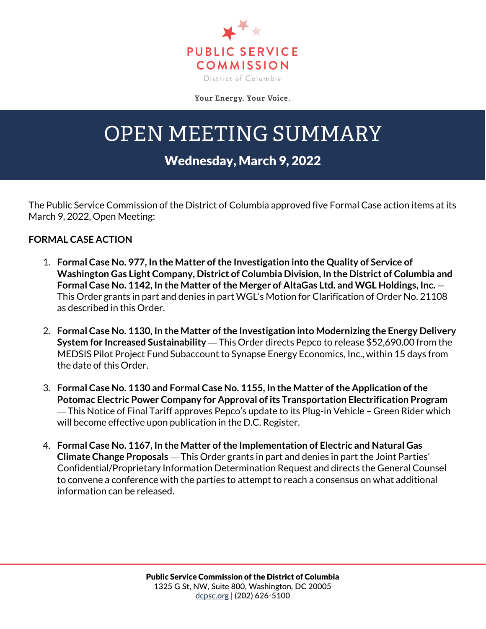

Your Energy. Your Voice.

## OPEN MEETING SUMMARY

## Wednesday, March 9, 2022

The Public Service Commission of the District of Columbia approved five Formal Case action items at its March 9, 2022, Open Meeting:

## **FORMAL CASE ACTION**

- 1. **Formal Case No. 977, In the Matter of the Investigation into the Quality of Service of Washington Gas Light Company, District of Columbia Division, In the District of Columbia and Formal Case No. 1142, In the Matter of the Merger of AltaGas Ltd. and WGL Holdings, Inc.** — This Order grants in part and denies in part WGL's Motion for Clarification of Order No. 21108 as described in this Order.
- 2. **Formal Case No. 1130, In the Matter of the Investigation into Modernizing the Energy Delivery System for Increased Sustainability** — This Order directs Pepco to release \$52,690.00 from the MEDSIS Pilot Project Fund Subaccount to Synapse Energy Economics, Inc., within 15 days from the date of this Order.
- 3. **Formal Case No. 1130 and Formal Case No. 1155, In the Matter of the Application of the Potomac Electric Power Company for Approval of its Transportation Electrification Program** — This Notice of Final Tariff approves Pepco's update to its Plug-in Vehicle – Green Rider which will become effective upon publication in the D.C. Register.
- 4. **Formal Case No. 1167, In the Matter of the Implementation of Electric and Natural Gas Climate Change Proposals** — This Order grants in part and denies in part the Joint Parties' Confidential/Proprietary Information Determination Request and directs the General Counsel to convene a conference with the parties to attempt to reach a consensus on what additional information can be released.